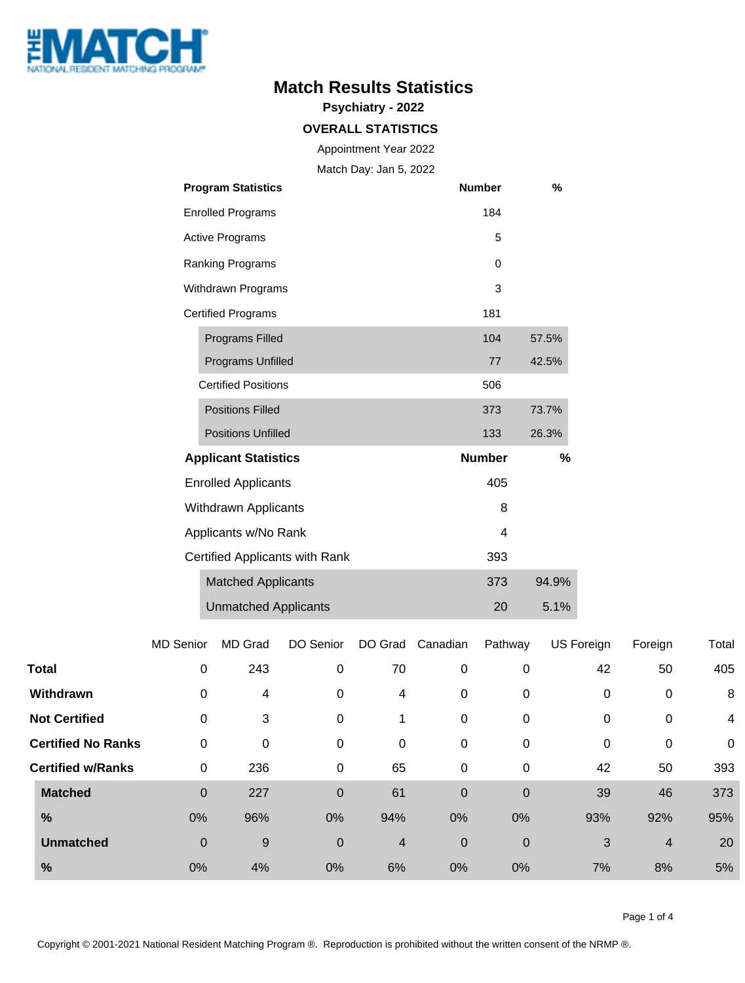

## **Match Results Statistics**

**Psychiatry - 2022**

#### **OVERALL STATISTICS**

Appointment Year 2022

Match Day: Jan 5, 2022

|                      | <b>Program Statistics</b>      | <b>Number</b> | %     |  |
|----------------------|--------------------------------|---------------|-------|--|
|                      | <b>Enrolled Programs</b>       | 184           |       |  |
|                      | <b>Active Programs</b>         | 5             |       |  |
|                      | Ranking Programs               | 0             |       |  |
|                      | Withdrawn Programs             | 3             |       |  |
|                      | <b>Certified Programs</b>      | 181           |       |  |
|                      | Programs Filled                | 104           | 57.5% |  |
|                      | Programs Unfilled              | 77            | 42.5% |  |
|                      | <b>Certified Positions</b>     | 506           |       |  |
|                      | <b>Positions Filled</b>        | 373           | 73.7% |  |
|                      | <b>Positions Unfilled</b>      | 133           | 26.3% |  |
|                      | <b>Applicant Statistics</b>    | <b>Number</b> | %     |  |
|                      | <b>Enrolled Applicants</b>     | 405           |       |  |
|                      | <b>Withdrawn Applicants</b>    | 8             |       |  |
| Applicants w/No Rank |                                | 4             |       |  |
|                      | Certified Applicants with Rank | 393           |       |  |
|                      | <b>Matched Applicants</b>      | 373           | 94.9% |  |
|                      | <b>Unmatched Applicants</b>    | 20            | 5.1%  |  |

|              |                           | <b>MD Senior</b> | MD Grad | DO Senior      | DO Grad | Canadian         | Pathway     | US Foreign | Foreign        | Total       |
|--------------|---------------------------|------------------|---------|----------------|---------|------------------|-------------|------------|----------------|-------------|
| <b>Total</b> |                           | $\mathbf 0$      | 243     | 0              | 70      | 0                | 0           | 42         | 50             | 405         |
|              | Withdrawn                 | $\mathbf 0$      | 4       | 0              | 4       | 0                | 0           | 0          | 0              | 8           |
|              | <b>Not Certified</b>      | $\mathbf 0$      | 3       | 0              | 1       | $\pmb{0}$        | 0           | 0          | 0              | 4           |
|              | <b>Certified No Ranks</b> | $\mathbf 0$      | 0       | 0              | 0       | 0                | 0           | 0          | 0              | $\mathbf 0$ |
|              | <b>Certified w/Ranks</b>  | $\pmb{0}$        | 236     | 0              | 65      | 0                | 0           | 42         | 50             | 393         |
|              | <b>Matched</b>            | $\boldsymbol{0}$ | 227     | $\overline{0}$ | 61      | $\overline{0}$   | $\mathbf 0$ | 39         | 46             | 373         |
|              | %                         | 0%               | 96%     | 0%             | 94%     | 0%               | 0%          | 93%        | 92%            | 95%         |
|              | <b>Unmatched</b>          | $\mathbf 0$      | 9       | $\overline{0}$ | 4       | $\boldsymbol{0}$ | $\mathbf 0$ | 3          | $\overline{4}$ | 20          |
|              | $\frac{9}{6}$             | 0%               | 4%      | 0%             | 6%      | 0%               | 0%          | 7%         | 8%             | 5%          |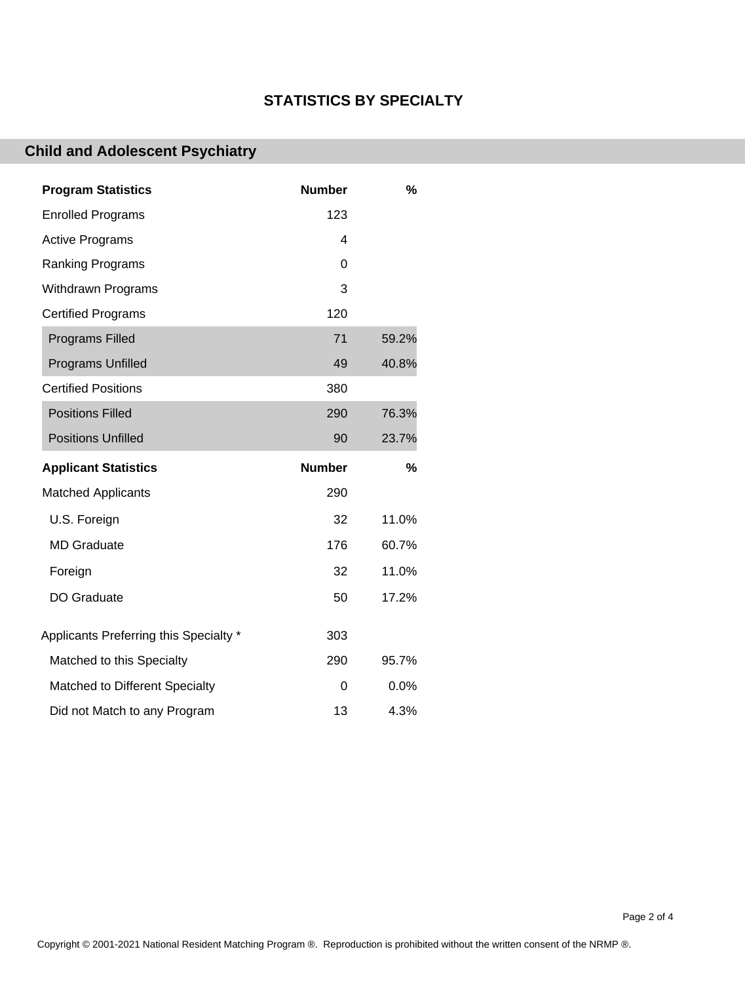### **STATISTICS BY SPECIALTY**

# **Child and Adolescent Psychiatry**

| <b>Program Statistics</b>              | <b>Number</b> | $\%$  |
|----------------------------------------|---------------|-------|
| <b>Enrolled Programs</b>               | 123           |       |
| <b>Active Programs</b>                 | 4             |       |
| Ranking Programs                       | 0             |       |
| <b>Withdrawn Programs</b>              | 3             |       |
| <b>Certified Programs</b>              | 120           |       |
| <b>Programs Filled</b>                 | 71            | 59.2% |
| <b>Programs Unfilled</b>               | 49            | 40.8% |
| <b>Certified Positions</b>             | 380           |       |
| <b>Positions Filled</b>                | 290           | 76.3% |
| <b>Positions Unfilled</b>              | 90            | 23.7% |
|                                        |               |       |
| <b>Applicant Statistics</b>            | <b>Number</b> | $\%$  |
| <b>Matched Applicants</b>              | 290           |       |
| U.S. Foreign                           | 32            | 11.0% |
| <b>MD</b> Graduate                     | 176           | 60.7% |
| Foreign                                | 32            | 11.0% |
| DO Graduate                            | 50            | 17.2% |
| Applicants Preferring this Specialty * | 303           |       |
| Matched to this Specialty              | 290           | 95.7% |
| Matched to Different Specialty         | 0             | 0.0%  |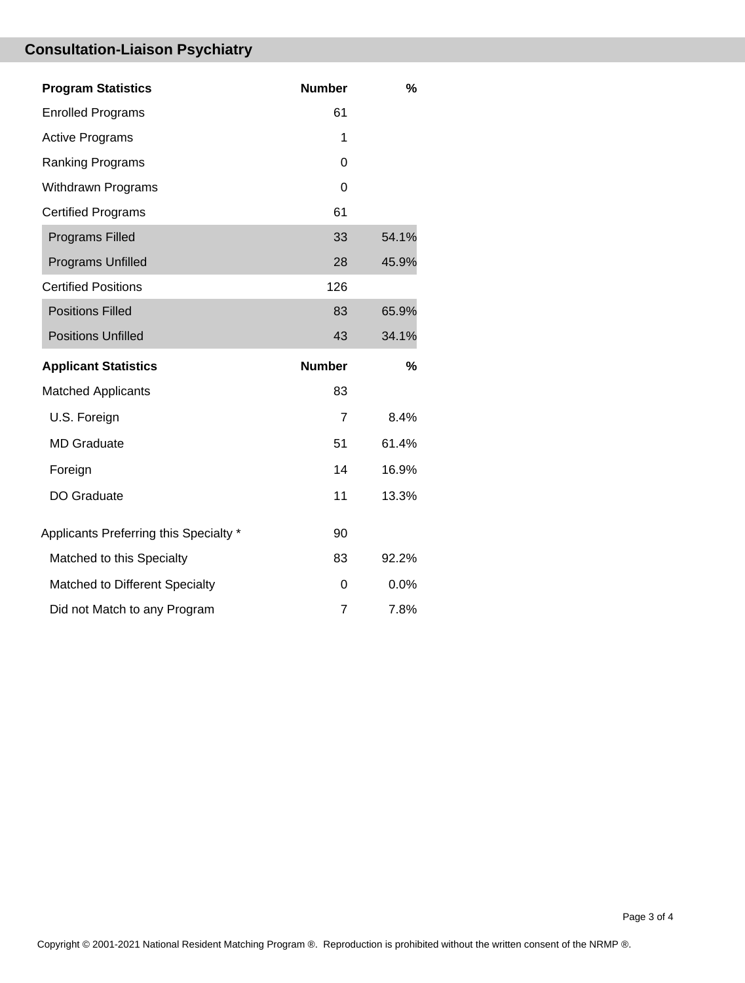# **Consultation-Liaison Psychiatry**

| <b>Program Statistics</b>              | <b>Number</b>  | $\%$  |
|----------------------------------------|----------------|-------|
| <b>Enrolled Programs</b>               | 61             |       |
| <b>Active Programs</b>                 | 1              |       |
| <b>Ranking Programs</b>                | 0              |       |
| <b>Withdrawn Programs</b>              | $\Omega$       |       |
| <b>Certified Programs</b>              | 61             |       |
| <b>Programs Filled</b>                 | 33             | 54.1% |
| Programs Unfilled                      | 28             | 45.9% |
| <b>Certified Positions</b>             | 126            |       |
| <b>Positions Filled</b>                | 83             | 65.9% |
| <b>Positions Unfilled</b>              | 43             | 34.1% |
|                                        |                |       |
| <b>Applicant Statistics</b>            | <b>Number</b>  | %     |
| <b>Matched Applicants</b>              | 83             |       |
| U.S. Foreign                           | $\overline{7}$ | 8.4%  |
| <b>MD</b> Graduate                     | 51             | 61.4% |
| Foreign                                | 14             | 16.9% |
| DO Graduate                            | 11             | 13.3% |
| Applicants Preferring this Specialty * | 90             |       |
| Matched to this Specialty              | 83             | 92.2% |
| Matched to Different Specialty         | 0              | 0.0%  |